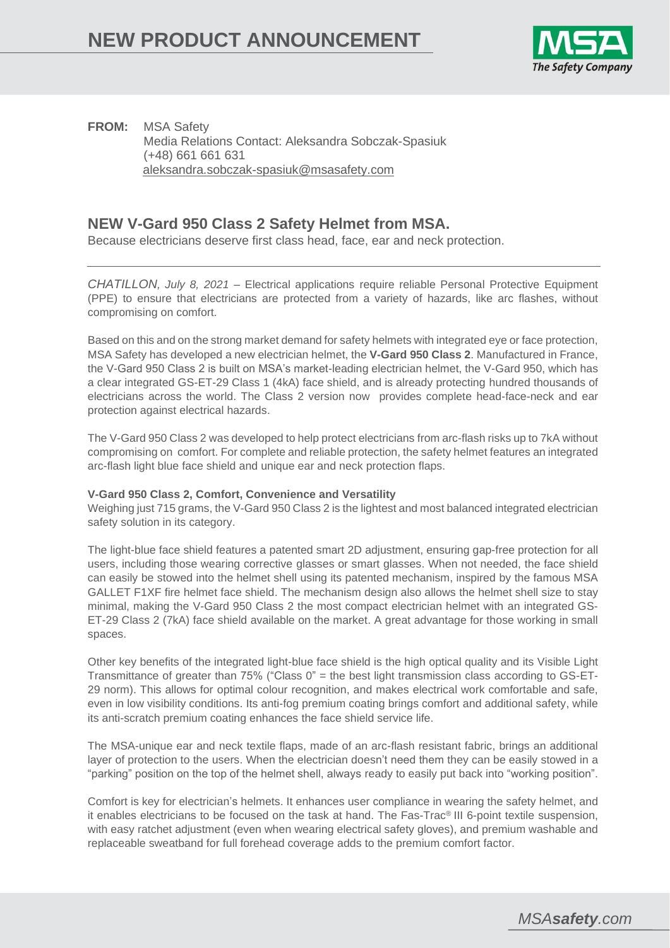

**FROM:** MSA Safety Media Relations Contact: Aleksandra Sobczak-Spasiuk (+48) 661 661 631 [aleksandra.sobczak-spasiuk@msasafety.com](mailto:aleksandra.sobczak-spasiuk@msasafety.com)

## **NEW V-Gard 950 Class 2 Safety Helmet from MSA.**

Because electricians deserve first class head, face, ear and neck protection.

*CHATILLON, July 8, 2021* – Electrical applications require reliable Personal Protective Equipment (PPE) to ensure that electricians are protected from a variety of hazards, like arc flashes, without compromising on comfort.

Based on this and on the strong market demand for safety helmets with integrated eye or face protection, MSA Safety has developed a new electrician helmet, the **V-Gard 950 Class 2**. Manufactured in France, the V-Gard 950 Class 2 is built on MSA's market-leading electrician helmet, the V-Gard 950, which has a clear integrated GS-ET-29 Class 1 (4kA) face shield, and is already protecting hundred thousands of electricians across the world. The Class 2 version now provides complete head-face-neck and ear protection against electrical hazards.

The V-Gard 950 Class 2 was developed to help protect electricians from arc-flash risks up to 7kA without compromising on comfort. For complete and reliable protection, the safety helmet features an integrated arc-flash light blue face shield and unique ear and neck protection flaps.

## **V-Gard 950 Class 2, Comfort, Convenience and Versatility**

Weighing just 715 grams, the V-Gard 950 Class 2 is the lightest and most balanced integrated electrician safety solution in its category.

The light-blue face shield features a patented smart 2D adjustment, ensuring gap-free protection for all users, including those wearing corrective glasses or smart glasses. When not needed, the face shield can easily be stowed into the helmet shell using its patented mechanism, inspired by the famous MSA GALLET F1XF fire helmet face shield. The mechanism design also allows the helmet shell size to stay minimal, making the V-Gard 950 Class 2 the most compact electrician helmet with an integrated GS-ET-29 Class 2 (7kA) face shield available on the market. A great advantage for those working in small spaces.

Other key benefits of the integrated light-blue face shield is the high optical quality and its Visible Light Transmittance of greater than 75% ("Class 0" = the best light transmission class according to GS-ET-29 norm). This allows for optimal colour recognition, and makes electrical work comfortable and safe, even in low visibility conditions. Its anti-fog premium coating brings comfort and additional safety, while its anti-scratch premium coating enhances the face shield service life.

The MSA-unique ear and neck textile flaps, made of an arc-flash resistant fabric, brings an additional layer of protection to the users. When the electrician doesn't need them they can be easily stowed in a "parking" position on the top of the helmet shell, always ready to easily put back into "working position".

Comfort is key for electrician's helmets. It enhances user compliance in wearing the safety helmet, and it enables electricians to be focused on the task at hand. The Fas-Trac® III 6-point textile suspension, with easy ratchet adjustment (even when wearing electrical safety gloves), and premium washable and replaceable sweatband for full forehead coverage adds to the premium comfort factor.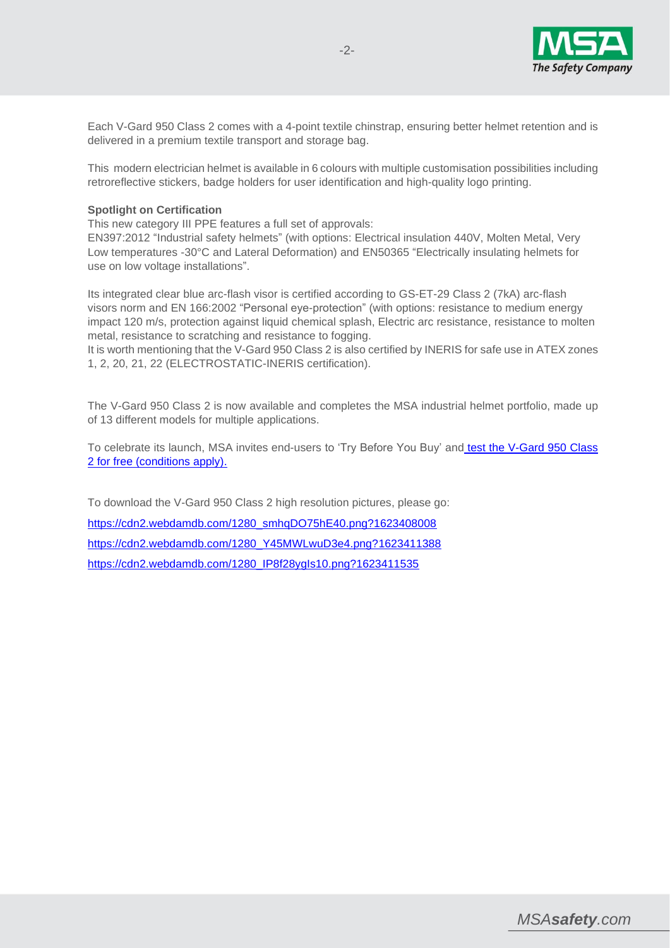

Each V-Gard 950 Class 2 comes with a 4-point textile chinstrap, ensuring better helmet retention and is delivered in a premium textile transport and storage bag.

This modern electrician helmet is available in 6 colours with multiple customisation possibilities including retroreflective stickers, badge holders for user identification and high-quality logo printing.

## **Spotlight on Certification**

This new category III PPE features a full set of approvals:

EN397:2012 "Industrial safety helmets" (with options: Electrical insulation 440V, Molten Metal, Very Low temperatures -30°C and Lateral Deformation) and EN50365 "Electrically insulating helmets for use on low voltage installations".

Its integrated clear blue arc-flash visor is certified according to GS-ET-29 Class 2 (7kA) arc-flash visors norm and EN 166:2002 "Personal eye-protection" (with options: resistance to medium energy impact 120 m/s, protection against liquid chemical splash, Electric arc resistance, resistance to molten metal, resistance to scratching and resistance to fogging.

It is worth mentioning that the V-Gard 950 Class 2 is also certified by INERIS for safe use in ATEX zones 1, 2, 20, 21, 22 (ELECTROSTATIC-INERIS certification).

The V-Gard 950 Class 2 is now available and completes the MSA industrial helmet portfolio, made up of 13 different models for multiple applications.

To celebrate its launch, MSA invites end-users to 'Try Before You Buy' and [test the V-Gard 950 Class](https://gb.msasafety.com/submarket/utilities-electrical?marketName=/markets/utilities#ninefifty)  [2 for free \(conditions apply\).](https://gb.msasafety.com/submarket/utilities-electrical?marketName=/markets/utilities#ninefifty)

To download the V-Gard 950 Class 2 high resolution pictures, please go: [https://cdn2.webdamdb.com/1280\\_smhqDO75hE40.png?1623408008](https://cdn2.webdamdb.com/1280_smhqDO75hE40.png?1623408008) [https://cdn2.webdamdb.com/1280\\_Y45MWLwuD3e4.png?1623411388](https://cdn2.webdamdb.com/1280_Y45MWLwuD3e4.png?1623411388) [https://cdn2.webdamdb.com/1280\\_IP8f28ygIs10.png?1623411535](https://cdn2.webdamdb.com/1280_IP8f28ygIs10.png?1623411535)